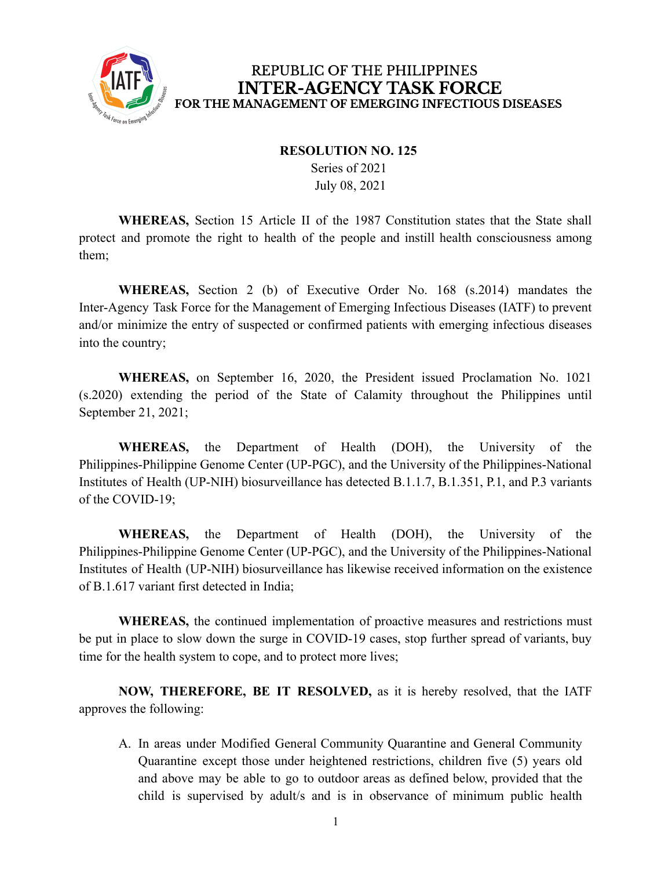

#### **RESOLUTION NO. 125**

Series of 2021 July 08, 2021

**WHEREAS,** Section 15 Article II of the 1987 Constitution states that the State shall protect and promote the right to health of the people and instill health consciousness among them;

**WHEREAS,** Section 2 (b) of Executive Order No. 168 (s.2014) mandates the Inter-Agency Task Force for the Management of Emerging Infectious Diseases (IATF) to prevent and/or minimize the entry of suspected or confirmed patients with emerging infectious diseases into the country;

**WHEREAS,** on September 16, 2020, the President issued Proclamation No. 1021 (s.2020) extending the period of the State of Calamity throughout the Philippines until September 21, 2021;

**WHEREAS,** the Department of Health (DOH), the University of the Philippines-Philippine Genome Center (UP-PGC), and the University of the Philippines-National Institutes of Health (UP-NIH) biosurveillance has detected B.1.1.7, B.1.351, P.1, and P.3 variants of the COVID-19;

**WHEREAS,** the Department of Health (DOH), the University of the Philippines-Philippine Genome Center (UP-PGC), and the University of the Philippines-National Institutes of Health (UP-NIH) biosurveillance has likewise received information on the existence of B.1.617 variant first detected in India;

**WHEREAS,** the continued implementation of proactive measures and restrictions must be put in place to slow down the surge in COVID-19 cases, stop further spread of variants, buy time for the health system to cope, and to protect more lives;

**NOW, THEREFORE, BE IT RESOLVED,** as it is hereby resolved, that the IATF approves the following:

A. In areas under Modified General Community Quarantine and General Community Quarantine except those under heightened restrictions, children five (5) years old and above may be able to go to outdoor areas as defined below, provided that the child is supervised by adult/s and is in observance of minimum public health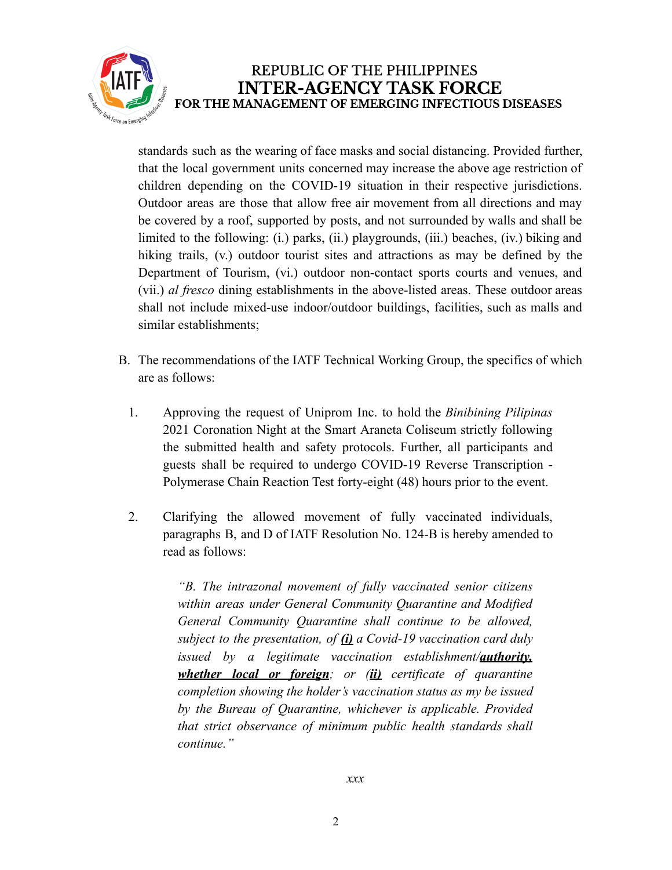

standards such as the wearing of face masks and social distancing. Provided further, that the local government units concerned may increase the above age restriction of children depending on the COVID-19 situation in their respective jurisdictions. Outdoor areas are those that allow free air movement from all directions and may be covered by a roof, supported by posts, and not surrounded by walls and shall be limited to the following: (i.) parks, (ii.) playgrounds, (iii.) beaches, (iv.) biking and hiking trails, (v.) outdoor tourist sites and attractions as may be defined by the Department of Tourism, (vi.) outdoor non-contact sports courts and venues, and (vii.) *al fresco* dining establishments in the above-listed areas. These outdoor areas shall not include mixed-use indoor/outdoor buildings, facilities, such as malls and similar establishments;

- B. The recommendations of the IATF Technical Working Group, the specifics of which are as follows:
	- 1. Approving the request of Uniprom Inc. to hold the *Binibining Pilipinas* 2021 Coronation Night at the Smart Araneta Coliseum strictly following the submitted health and safety protocols. Further, all participants and guests shall be required to undergo COVID-19 Reverse Transcription - Polymerase Chain Reaction Test forty-eight (48) hours prior to the event.
	- 2. Clarifying the allowed movement of fully vaccinated individuals, paragraphs B, and D of IATF Resolution No. 124-B is hereby amended to read as follows:

*"B. The intrazonal movement of fully vaccinated senior citizens within areas under General Community Quarantine and Modified General Community Quarantine shall continue to be allowed, subject to the presentation, of (i) a Covid-19 vaccination card duly issued by a legitimate vaccination establishment/authority, whether local or foreign; or (ii) certificate of quarantine completion showing the holder's vaccination status as my be issued by the Bureau of Quarantine, whichever is applicable. Provided that strict observance of minimum public health standards shall continue."*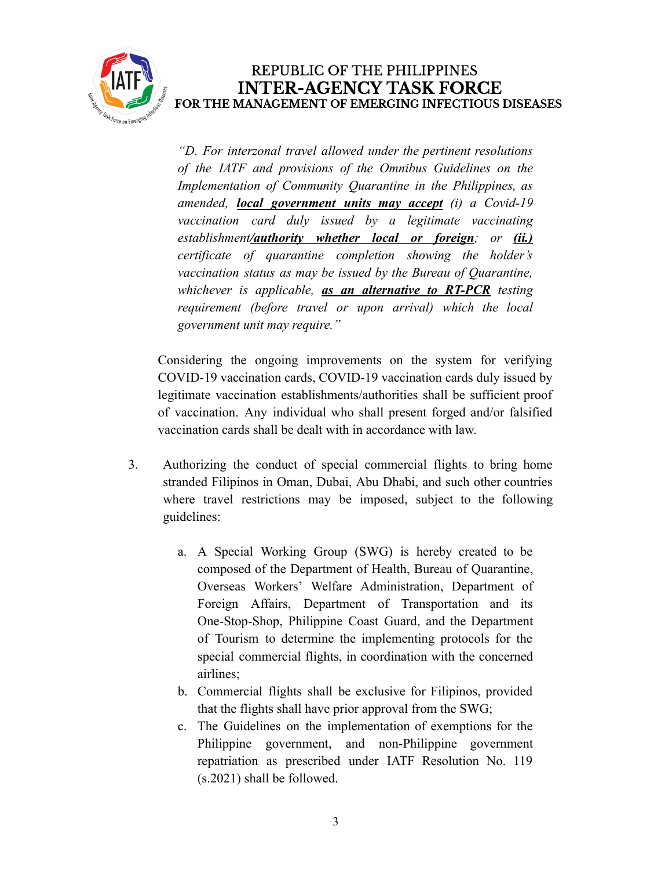

*"D. For interzonal travel allowed under the pertinent resolutions of the IATF and provisions of the Omnibus Guidelines on the Implementation of Community Quarantine in the Philippines, as amended, local government units may accept (i) a Covid-19 vaccination card duly issued by a legitimate vaccinating establishment/authority whether local or foreign; or (ii.) certificate of quarantine completion showing the holder's vaccination status as may be issued by the Bureau of Quarantine, whichever is applicable, as an alternative to RT-PCR testing requirement (before travel or upon arrival) which the local government unit may require."*

Considering the ongoing improvements on the system for verifying COVID-19 vaccination cards, COVID-19 vaccination cards duly issued by legitimate vaccination establishments/authorities shall be sufficient proof of vaccination. Any individual who shall present forged and/or falsified vaccination cards shall be dealt with in accordance with law.

- 3. Authorizing the conduct of special commercial flights to bring home stranded Filipinos in Oman, Dubai, Abu Dhabi, and such other countries where travel restrictions may be imposed, subject to the following guidelines:
	- a. A Special Working Group (SWG) is hereby created to be composed of the Department of Health, Bureau of Quarantine, Overseas Workers' Welfare Administration, Department of Foreign Affairs, Department of Transportation and its One-Stop-Shop, Philippine Coast Guard, and the Department of Tourism to determine the implementing protocols for the special commercial flights, in coordination with the concerned airlines;
	- b. Commercial flights shall be exclusive for Filipinos, provided that the flights shall have prior approval from the SWG;
	- c. The Guidelines on the implementation of exemptions for the Philippine government, and non-Philippine government repatriation as prescribed under IATF Resolution No. 119 (s.2021) shall be followed.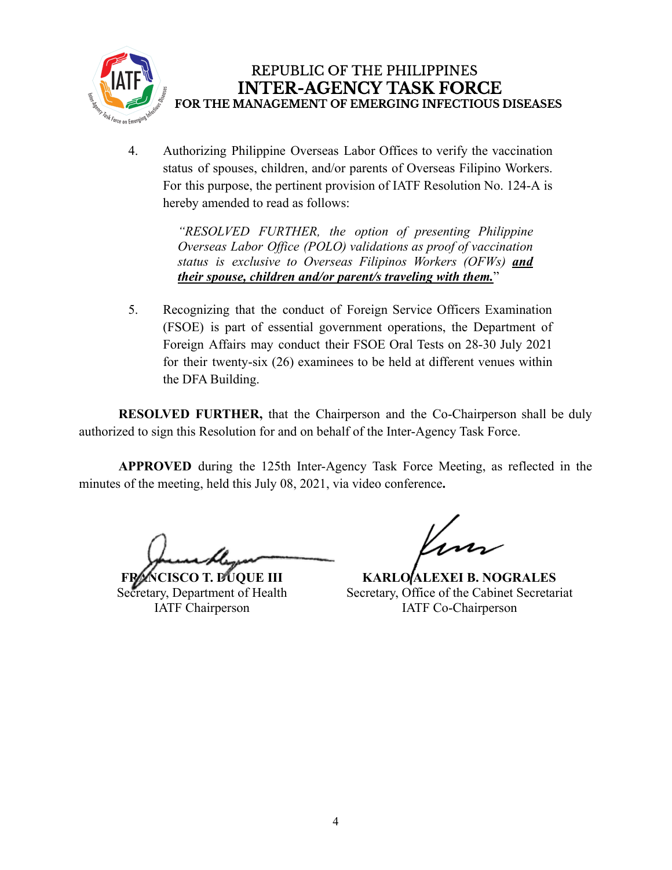

4. Authorizing Philippine Overseas Labor Offices to verify the vaccination status of spouses, children, and/or parents of Overseas Filipino Workers. For this purpose, the pertinent provision of IATF Resolution No. 124-A is hereby amended to read as follows:

> *"RESOLVED FURTHER, the option of presenting Philippine Overseas Labor Office (POLO) validations as proof of vaccination status is exclusive to Overseas Filipinos Workers (OFWs) and their spouse, children and/or parent/s traveling with them.*"

5. Recognizing that the conduct of Foreign Service Officers Examination (FSOE) is part of essential government operations, the Department of Foreign Affairs may conduct their FSOE Oral Tests on 28-30 July 2021 for their twenty-six (26) examinees to be held at different venues within the DFA Building.

**RESOLVED FURTHER,** that the Chairperson and the Co-Chairperson shall be duly authorized to sign this Resolution for and on behalf of the Inter-Agency Task Force.

**APPROVED** during the 125th Inter-Agency Task Force Meeting, as reflected in the minutes of the meeting, held this July 08, 2021, via video conference**.**

**FRANCISCO T. DUQUE III** Secretary, Department of Health IATF Chairperson

**KARLO ALEXEI B. NOGRALES** Secretary, Office of the Cabinet Secretariat IATF Co-Chairperson